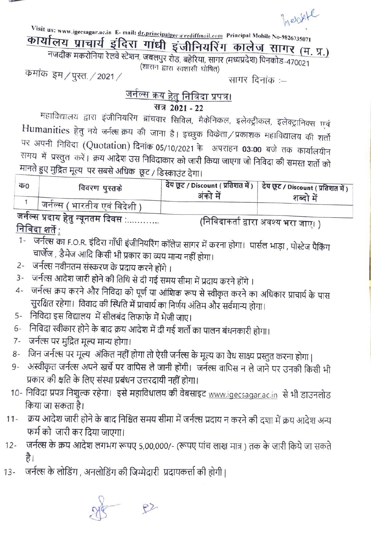hebythe

Visit us: www.igecsagar.ac.in E-mail: dr.principalgec a rediffmail.com Principal Mobile No-9826735071

## कार्यालय प्राचार्य इंदिरा गांधी इंजीनियरिंग कालेज सागर (म. प्र.)

नजदीक मकरोनिया रेलवे स्टेशन, जबलपुर रोड, बहेरिया, सागर (मध्यप्रदेश) पिनकोड-470021 (शासन द्वारा स्वशासी घोषित)

कमांक इम / पुस्त / 2021 /

सागर दिनांक :-

## <u>जर्नल्स क्रय हेतु निविदा प्रपत्र।</u>

### सत्र 2021 - 22

महाविद्यालय द्वारा इंजीनियरिंग ब्रांचवार सिविल, मैकेनिकल, इलेक्ट्रीकल, इलेक्ट्रानिक्स एवं Humanities हेतु नये जर्नल्स क्रय की जाना है। इच्छुक विकेता/प्रकाशक महाविद्यालय की शर्तो पर अपनी निविदा (Quotation) दिनांक 05/10/2021 के अपरांहन 03:00 बजे तक कार्यालयीन समय) में) प्रस्तुत) करें। क्रय आदेश उस निविदाकार को जारी किया जाएगा जो निविदा की समस्त शर्तो को मानते हुए मुद्रित मूल्य पर सबसे अधिक छूट / डिस्काउंट देगा।

| क0 | विवरण पुस्तके                                    | देय छूट / Discount ( प्रतिशत में )   देय छूट / Discount ( प्रतिशत में )<br>अंको में | शब्दो में                            |
|----|--------------------------------------------------|-------------------------------------------------------------------------------------|--------------------------------------|
|    | <sub>।</sub> जर्नल्स ( भारतीय एवं विदेशी )       |                                                                                     |                                      |
|    | जर्नल्स प्रदाय हेतु न्यूनतम दिवस :<br>$207 - 20$ |                                                                                     | (निविदाकर्ता द्वारा अवश्य भरा जाए। ) |

<u>निविदा शर्ते :</u>

- जर्नल्स का F.O.R. इंदिरा गाँधी इंजीनियरिंग कॉलेज सागर में करना होगा। पार्सल भाड़ा , पोस्टेज पैकिंग  $1 -$ चार्जेज , डैमेज आदि किसी भी प्रकार का व्यय मान्य नहीं होगा।
- 2- जर्नल्स नवीनतम संस्करण के प्रदाय करने होंगे ।
- जर्नल्स आदेश जारी होने की तिथि से दी गई समय सीमा में प्रदाय करने होंगे ।  $3 -$
- 4- जर्नल्स क्रय करने और निविदा को पूर्ण या आंशिक रूप से स्वीकृत करने का अधिकार प्राचार्य के पास सुरक्षित रहेगा। विवाद की स्थिति में प्राचार्य का निर्णय अंतिम और सर्वमान्य होगा।
- 5- निविदा इस विद्यालय में सीलबंद लिफाफे में भेजी जाए।
- 6- निविदा स्वीकार होने के बाद क्रय आदेश में दी गई शर्तो का पालन बंधनकारी होगा।
- जर्नल्स पर मुद्रित मूल्य मान्य होगा।  $7-$
- 8- जिन जर्नल्स पर मूल्य अंकित नहीं होगा तो ऐसी जर्नल्स के मूल्य का वैध साक्ष्य प्रस्तुत करना होगा |
- अस्वीकृत जर्नल्स अपने खर्चे पर वापिस ले जानी होंगी। जर्नल्स वापिस न ले जाने पर उनकी किसी भी 9-प्रकार की क्षति के लिए संस्था प्रबंधन उत्तरदायी नहीं होगा।
- 10- निविदा प्रपत्र निशुल्क रहेगा। इसे महाविधालय की वेबसाइट www.igecsagar.ac.in से भी डाउनलोड किया जा सकता है।
- 11- क्रय आदेश जारी होने के बाद निश्चित समय सीमा में जर्नल्स प्रदाय न करने की दशा में क्रय आदेश अन्य फर्म को जारी कर दिया जाएगा।
- जर्नल्स के क्रय आदेश लगभग रूपए 5,00,000/- (रूपए पांच लाख मात्र) तक के जारी किये जा सकते  $12 -$ है।
- जर्नल्स के लोडिंग, अनलोडिंग की जिम्मेदारी प्रदायकर्त्ता की होगी।  $13 -$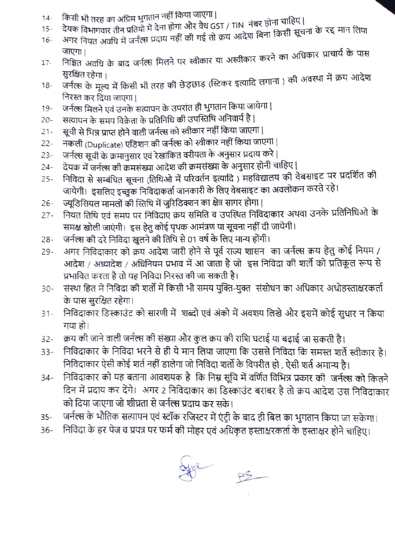- किसी भी तरह का अग्रिम भुगतान नहीं किया जाएगा |  $14 -$
- देयक विभागवार तीन प्रतियो में देना होगा और वैध GST / TIN नंबर होना चाहिए |  $15 -$
- अगर नियत अवधि में जर्नत्स प्रदाय नहीं की गई तो क्रय आदेश बिना किसी सूचना के रद्द मान लिया  $16 -$
- निश्चित अवधि के बाद जर्नल्स मिलने पर स्वीकार या अस्वीकार करने का अधिकार प्राचार्य के पास  $17 -$ सुरक्षित रहेगा।
- जर्नल्स के मूल्य में किसी भी तरह की छेड़छाड़ (स्टिकर इत्यादि लगाना ) की अवस्था में क्रय आदेश  $18 -$ निरस्त कर दिया जाएगा |
- जर्नल्स मिलने एवं उनके सत्यापन के उपरांत ही भुगतान किया जायेगा |  $19 -$
- सत्यापन के समय विक्रेता के प्रतिनिधि की उपस्तिथि अनिवार्य है |  $20 -$
- सूची से भिन्न प्राप्त होने वाली जर्नल्स को स्वीकार नहीं किया जाएगा |  $21 -$
- नकली (Duplicate) एडिशन की जर्नल्स को स्वीकार नहीं किया जाएगा |  $22 -$
- जर्नल्स सूची के क्रमानुसार एवं रेखांकित वरीयता के अनुसार प्रदाय करे |  $23 -$
- देयक में जर्नल्स की क्रमसंख्या आदेश की क्रमसंख्या के अनुसार होनी चाहिए |  $24 -$
- निविदा से सम्बंधित सूचना (तिथिओ में परिवर्तन इत्यादि) महविद्यालय की वेबसाइट पर प्रदर्शित की  $25 -$ जायेगी। इसलिए इच्छुक निविदाकर्ता जानकारी के लिए वेबसाइट का अवलोकन करते रहे।
- ज्यूडिसियल मामलों की स्तिथि में जुरिडिक्शन का क्षेत्र सागर होगा |  $26 -$
- नियत तिथि एवं समय पर निविदाए क्रय समिति व उपस्थित निविदाकार अथवा उनके प्रतिनिधिओ के  $27 -$ समक्ष खोली जाएंगी। इस हेतु कोई पृथक आमंत्रण या सूचना नहीं दी जायेगी।
- जर्नल्स की दरे निविदा खुलने की तिथि से 01 वर्ष के लिए मान्य होंगी।  $28 -$
- अगर निविदाकार को क्रय आदेश जारी होने से पूर्व राज्य शासन का जर्नल्स क्रय हेतु कोई नियम /  $29 -$ आदेश / अध्यादेश / अधिनियम प्रभाव में आ जाता है जो इस निविदा की शर्तो को प्रतिकूल रूप से प्रभावित करता है तो यह निविदा निरस्त की जा सकती है।
- संस्था हित में निविदा की शर्तो में किसी भी समय युक्ति-युक्त) संसोधन का अधिकार अधोहस्ताक्षरकर्ता  $30 -$ के पास सुरक्षित रहेगा।
- निविदाकार डिस्काउंट को सारणी में शब्दो एवं अंको में अवशय लिखे और इसमें कोई सुधार न किया  $31 -$ गया हो।
- क्रय की जाने वाली जर्नल्स की संख्या और कुल क्रय की राशि घटाई या बढ़ाई जा सकती है।  $32 -$
- निविदाकार के निविदा भरने से ही ये मान लिया जाएगा कि उससे निविदा कि समस्त शर्ते स्वीकार है।  $33 -$ निविदाकार ऐसी कोई शर्त नहीं डालेगा जो निविदा शर्तो के विपरीत हो , ऐसी शर्त अमान्य है।
- निविदाकार को यह बताना आवशयक है कि निम्न सूचि में वर्णित विभिन्न प्रकार की जर्नल्स को कितने  $34 -$ दिन में प्रदाय कर देंगे। अगर 2 निविदाकार का डिस्काउंट बराबर है तो क्रय आदेश उस निविदाकार को दिया जाएगा जो शीघ्रता से जर्नल्स प्रदाय कर सके।
- जर्नल्स के भौतिक सत्यापन एवं स्टॉक रजिस्टर में एंट्री के बाद ही बिल का भुगतान किया जा सकेगा।  $35 -$
- निविदा के हर पेज व प्रपत्र पर फर्म की मोहर एवं अधिकृत हस्ताक्षरकर्ता के हस्ताक्षर होने चाहिए।  $36 -$

R AS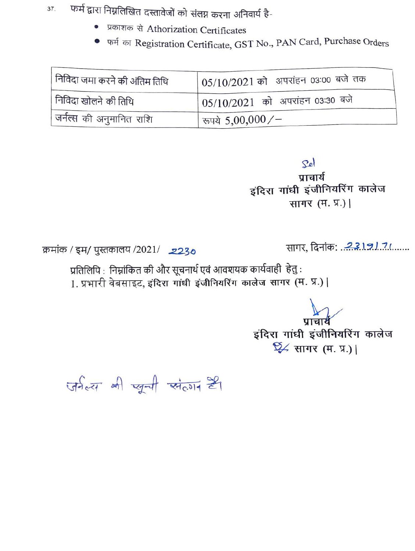फर्म द्वारा निम्नलिखित दस्तावेजों को संलग्न करना अनिवार्य है-37.

- प्रकाशक से Athorization Certificates
- फर्म का Registration Certificate, GST No., PAN Card, Purchase Orders

| निविदा जमा करने की अंतिम तिथि         | 05/10/2021 को अपरांहन 03:00 बजे तक           |
|---------------------------------------|----------------------------------------------|
| निविदा खोलने की तिथि                  | <sup>1</sup> 05/10/2021 को अपरांहन 03:30 बजे |
| <sub>।</sub> जर्नल्स की अनुमानित राशि | ' रूपये $5,\!00,\!000/-$                     |

Sel

प्राचार्य इंदिरा गांधी इंजीनियरिंग कालेज सागर (म. प्र.) |

क्रमांक / इम/ पुस्तकालय /2021/ 2230

सागर, दिनांक: 23191.7(......

प्रतिलिपि : निम्नांकित की और सूचनार्थ एवं आवशयक कार्यवाही हेतु : 1. प्रभारी वेबसाइट, इंदिरा गांधी इंजीनियरिंग कालेज सागर (म. प्र.) |

> इंदिरा गांधी इंजीनियरिंग कालेज  $\frac{1}{2}$  सागर (म. प्र.) |

जर्नल्ल भी खुली संलग है।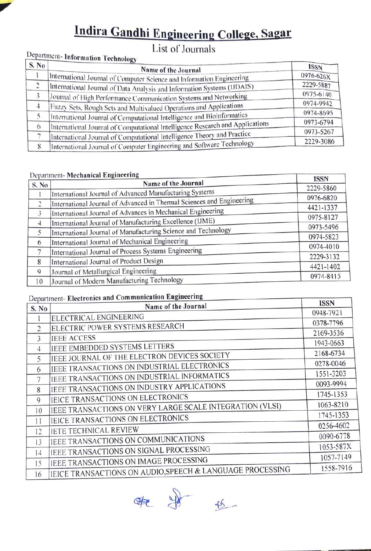# Indira Gandhi Engineering College, Sagar List of Journals

### Department- Information Technology

| <b>ISSN</b>                                                                                                                                                                                                                                                                                                                                                                                                                                                                                                                                                                                                                      |
|----------------------------------------------------------------------------------------------------------------------------------------------------------------------------------------------------------------------------------------------------------------------------------------------------------------------------------------------------------------------------------------------------------------------------------------------------------------------------------------------------------------------------------------------------------------------------------------------------------------------------------|
| 0976-626X                                                                                                                                                                                                                                                                                                                                                                                                                                                                                                                                                                                                                        |
| 2229-5887                                                                                                                                                                                                                                                                                                                                                                                                                                                                                                                                                                                                                        |
| 0975-6140                                                                                                                                                                                                                                                                                                                                                                                                                                                                                                                                                                                                                        |
| 0974-9942                                                                                                                                                                                                                                                                                                                                                                                                                                                                                                                                                                                                                        |
| 0974-8695                                                                                                                                                                                                                                                                                                                                                                                                                                                                                                                                                                                                                        |
| 0973-6794                                                                                                                                                                                                                                                                                                                                                                                                                                                                                                                                                                                                                        |
| 0973-5267                                                                                                                                                                                                                                                                                                                                                                                                                                                                                                                                                                                                                        |
| 2229-3086                                                                                                                                                                                                                                                                                                                                                                                                                                                                                                                                                                                                                        |
| Name of the Journal<br>International Journal of Computer Science and Information Engineering<br>International Journal of Data Analysis and Information Systems (IJDAIS)<br>Journal of High Performance Communication Systems and Networking<br>Fuzzy Sets, Rough Sets and Multivalued Operations and Applications<br>International Journal of Computational Intelligence and Bioinformatics<br>International Journal of Computational Intelligence Research and Applications<br>International Journal of Computational Intelligence Theory and Practice<br>International Journal of Computer Engineering and Software Technology |

#### Department- Mechanical Engineering

|                | $\sim$<br>Name of the Journal                                         | <b>ISSN</b> |
|----------------|-----------------------------------------------------------------------|-------------|
| S. No          |                                                                       | 2229-5860   |
|                | International Journal of Advanced Manufacturing Systems               | 0976-6820   |
| $\overline{c}$ | International Journal of Advanced in Thermal Sciences and Engineering |             |
| 3              | International Journal of Advances in Mechanical Engineering           | 4421-1337   |
| $\overline{4}$ | International Journal of Manufacturing Excellence (IJME)              | 0975-8127   |
| 5              | International Journal of Manufacturing Science and Technology         | 0973-5496   |
| 6              | International Journal of Mechanical Engineering                       | 0974-5823   |
|                | International Journal of Process Systems Engineering                  | 0974-4010   |
|                |                                                                       | 2229-3132   |
| 8              | International Journal of Product Design                               | 4421-1402   |
| 9              | Journal of Metallurgical Engineering                                  | 0974-8415   |
| 10             | Journal of Modern Manufacturing Technology                            |             |
|                |                                                                       |             |

#### Department- Electronics and Communication Engineering

| S. No          | Department- Electronics and Comman<br>Name of the Journal | <b>ISSN</b> |
|----------------|-----------------------------------------------------------|-------------|
|                | ELECTRICAL ENGINEERING                                    | 0948-7921   |
|                | ELECTRIC POWER SYSTEMS RESEARCH                           | 0378-7796   |
| 2              |                                                           | 2169-3536   |
| 3              | <b>IEEE ACCESS</b>                                        | 1943-0663   |
| $\overline{4}$ | IEEE EMBEDDED SYSTEMS LETTERS                             | 2168-6734   |
| 5              | IEEE JOURNAL OF THE ELECTRON DEVICES SOCIETY              | 0278-0046   |
| 6              | IEEE TRANSACTIONS ON INDUSTRIAL ELECTRONICS               | 1551-3203   |
| 7              | IEEE TRANSACTIONS ON INDUSTRIAL INFORMATICS               |             |
| 8              | IEEE TRANSACTIONS ON INDUSTRY APPLICATIONS                | 0093-9994   |
| 9              | IEICE TRANSACTIONS ON ELECTRONICS                         | 1745-1353   |
| 10             | IEEE TRANSACTIONS ON VERY LARGE SCALE INTEGRATION (VLSI)  | 1063-8210   |
|                | IEICE TRANSACTIONS ON ELECTRONICS                         | 1745-1353   |
| $\mathbf{1}$   | <b>IETE TECHNICAL REVIEW</b>                              | 0256-4602   |
| 12             |                                                           | 0090-6778   |
| 13             | JEEE TRANSACTIONS ON COMMUNICATIONS                       | 1053-587X   |
| 14             | IEEE TRANSACTIONS ON SIGNAL PROCESSING                    | 1057-7149   |
| 15             | IEEE TRANSACTIONS ON IMAGE PROCESSING                     | 1558-7916   |
| 16             | IEICE TRANSACTIONS ON AUDIO, SPEECH & LANGUAGE PROCESSING |             |

**第一步**